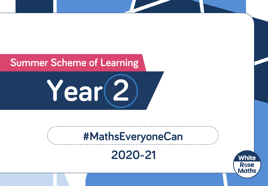## **Summer Scheme of Learning**

**Year 2**

# **#MathsEveryoneCan**

**2020-21**

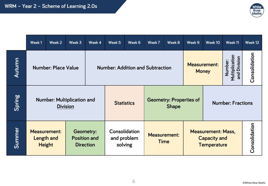

|        | Week 1                                                                                                                   | Week 2 | Week 3 | Week 4 | Week 5                                  | Week 6            | Week 7                                         | Week 8 | Week 9                                                                                         | Week 10                  | Week 11 | Week 12       |  |
|--------|--------------------------------------------------------------------------------------------------------------------------|--------|--------|--------|-----------------------------------------|-------------------|------------------------------------------------|--------|------------------------------------------------------------------------------------------------|--------------------------|---------|---------------|--|
| Autumn | <b>Number: Place Value</b>                                                                                               |        |        |        | <b>Number: Addition and Subtraction</b> |                   |                                                |        | Multiplication<br>Division<br>Number:<br><b>Measurement:</b><br><b>Money</b><br>$\overline{P}$ |                          |         | Consolidation |  |
| Spring | <b>Number: Multiplication and</b><br><b>Division</b>                                                                     |        |        |        |                                         | <b>Statistics</b> | <b>Geometry: Properties of</b><br><b>Shape</b> |        |                                                                                                | <b>Number: Fractions</b> |         |               |  |
| Summer | <b>Measurement:</b><br><b>Geometry:</b><br><b>Position and</b><br><b>Length and</b><br><b>Height</b><br><b>Direction</b> |        |        |        | Consolidation<br>and problem<br>solving |                   | <b>Measurement:</b><br><b>Time</b>             |        | <b>Measurement: Mass,</b><br><b>Capacity and</b><br><b>Temperature</b>                         | Consolidation            |         |               |  |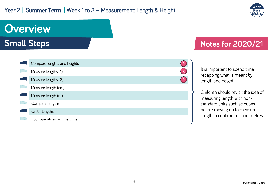#### Year 2 | Summer Term | Week 1 to 2 - Measurement: Length & Height



# **Overview Small Steps**

| Compare lengths and heights  |  |
|------------------------------|--|
| Measure lengths (1)          |  |
| Measure lengths (2)          |  |
| Measure length (cm)          |  |
| Measure length (m)           |  |
| Compare lengths              |  |
| Order lengths                |  |
| Four operations with lengths |  |

### **Notes for 2020/21**

It is important to spend time recapping what is meant by length and height.

Children should revisit the idea of measuring length with nonstandard units such as cubes before moving on to measure length in centimetres and metres.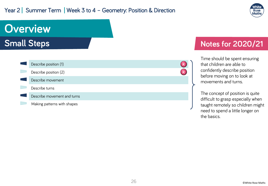#### Year 2 | Summer Term | Week 3 to 4 - Geometry: Position & Direction



# **Overview Small Steps**

| Describe position (1)       |  |
|-----------------------------|--|
| Describe position (2)       |  |
| Describe movement           |  |
| Describe turns              |  |
| Describe movement and turns |  |
| Making patterns with shapes |  |

#### **Notes for 2020/21**

Time should be spent ensuring that children are able to confidently describe position before moving on to look at movements and turns.

The concept of position is quite difficult to grasp especially when taught remotely so children might need to spend a little longer on the basics.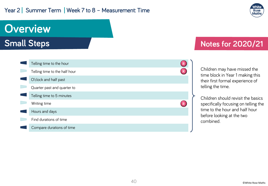#### Year 2 | Summer Term | Week 7 to 8 - Measurement: Time



# **Overview**

**Small Steps**

| Telling time to the hour      |  |
|-------------------------------|--|
| Telling time to the half hour |  |
| O'clock and half past         |  |
| Quarter past and quarter to   |  |
| Telling time to 5 minutes     |  |
| Writing time                  |  |
| Hours and days                |  |
| Find durations of time        |  |
| Compare durations of time     |  |

### **Notes for 2020/21**

Children may have missed the time block in Year 1 making this their first formal experience of telling the time.

Children should revisit the basics specifically focusing on telling the time to the hour and half hour before looking at the two combined.